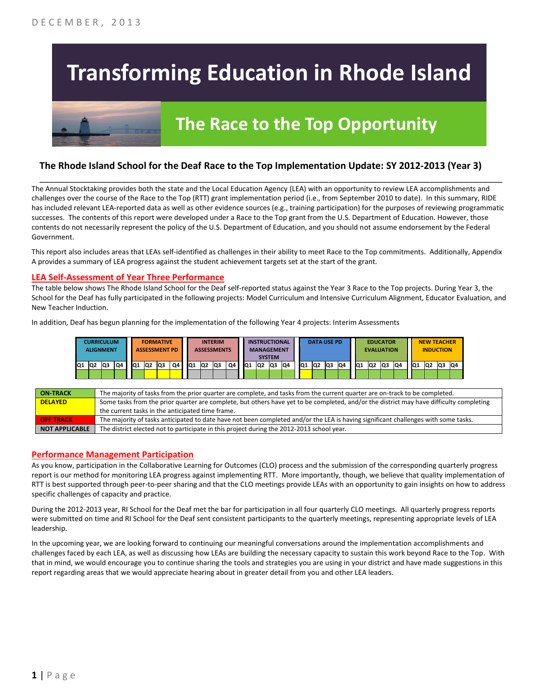# **Transforming Education in Rhode Island**



## **The Race to the Top Opportunity**

#### **The Rhode Island School for the Deaf Race to the Top Implementation Update: SY 2012-2013 (Year 3)**

The Annual Stocktaking provides both the state and the Local Education Agency (LEA) with an opportunity to review LEA accomplishments and challenges over the course of the Race to the Top (RTT) grant implementation period (i.e., from September 2010 to date). In this summary, RIDE has included relevant LEA-reported data as well as other evidence sources (e.g., training participation) for the purposes of reviewing programmatic successes. The contents of this report were developed under a Race to the Top grant from the U.S. Department of Education. However, those contents do not necessarily represent the policy of the U.S. Department of Education, and you should not assume endorsement by the Federal Government.

\_\_\_\_\_\_\_\_\_\_\_\_\_\_\_\_\_\_\_\_\_\_\_\_\_\_\_\_\_\_\_\_\_\_\_\_\_\_\_\_\_\_\_\_\_\_\_\_\_\_\_\_\_\_\_\_\_\_\_\_\_\_\_\_\_\_\_\_\_\_\_\_\_\_\_\_\_\_\_\_\_\_\_\_\_\_\_\_\_\_\_\_\_\_\_\_

This report also includes areas that LEAs self-identified as challenges in their ability to meet Race to the Top commitments. Additionally, Appendix A provides a summary of LEA progress against the student achievement targets set at the start of the grant.

#### **LEA Self-Assessment of Year Three Performance**

The table below shows The Rhode Island School for the Deaf self-reported status against the Year 3 Race to the Top projects. During Year 3, the School for the Deaf has fully participated in the following projects: Model Curriculum and Intensive Curriculum Alignment, Educator Evaluation, and New Teacher Induction.

In addition, Deaf has begun planning for the implementation of the following Year 4 projects: Interim Assessments

|     |                 | <b>CURRICULUM</b><br><b>ALIGNMENT</b> |    |     |                 | <b>FORMATIVE</b><br><b>ASSESSMENT PD</b> |    |     |                | <b>INTERIM</b><br><b>ASSESSMENTS</b> |    |     | <b>INSTRUCTIONAL</b><br><b>MANAGEMENT</b> | <b>SYSTEM</b> |     |                 |                | <b>DATA USE PD</b> |    |     | <b>EDUCATOR</b><br><b>EVALUATION</b> |  |                 |    | <b>NEW TEACHER</b><br><b>INDUCTION</b> |     |  |
|-----|-----------------|---------------------------------------|----|-----|-----------------|------------------------------------------|----|-----|----------------|--------------------------------------|----|-----|-------------------------------------------|---------------|-----|-----------------|----------------|--------------------|----|-----|--------------------------------------|--|-----------------|----|----------------------------------------|-----|--|
| IQ1 | IQ <sub>2</sub> | lQ3                                   | Q4 | IQ1 | IQ <sub>2</sub> | lQ3                                      | Q4 | IQ1 | Q <sub>2</sub> | Q3                                   | Q4 | IQ1 | IQ2                                       | lQ3           | IQ4 | IQ <sub>1</sub> | Q <sub>2</sub> | lQЗ                | Q4 | IQ1 | IQ4<br>Q3<br>Q <sub>2</sub>          |  | IQ <sub>1</sub> | Q2 | <b>Q3</b>                              | IQ4 |  |
|     |                 |                                       |    |     |                 |                                          |    |     |                |                                      |    |     |                                           |               |     |                 |                |                    |    |     |                                      |  |                 |    |                                        |     |  |

| <b>ON TRACK</b>       | The majority of tasks from the prior quarter are complete, and tasks from the current quarter are on-track to be completed.             |
|-----------------------|-----------------------------------------------------------------------------------------------------------------------------------------|
| <b>DELAYED</b>        | Some tasks from the prior quarter are complete, but others have yet to be completed, and/or the district may have difficulty completing |
|                       | the current tasks in the anticipated time frame.                                                                                        |
| <b>OFF TRACK</b>      | The majority of tasks anticipated to date have not been completed and/or the LEA is having significant challenges with some tasks.      |
| <b>NOT APPLICABLE</b> | The district elected not to participate in this project during the 2012-2013 school year.                                               |

#### **Performance Management Participation**

As you know, participation in the Collaborative Learning for Outcomes (CLO) process and the submission of the corresponding quarterly progress report is our method for monitoring LEA progress against implementing RTT. More importantly, though, we believe that quality implementation of RTT is best supported through peer-to-peer sharing and that the CLO meetings provide LEAs with an opportunity to gain insights on how to address specific challenges of capacity and practice.

During the 2012-2013 year, RI School for the Deaf met the bar for participation in all four quarterly CLO meetings. All quarterly progress reports were submitted on time and RI School for the Deaf sent consistent participants to the quarterly meetings, representing appropriate levels of LEA leadership.

In the upcoming year, we are looking forward to continuing our meaningful conversations around the implementation accomplishments and challenges faced by each LEA, as well as discussing how LEAs are building the necessary capacity to sustain this work beyond Race to the Top. With that in mind, we would encourage you to continue sharing the tools and strategies you are using in your district and have made suggestions in this report regarding areas that we would appreciate hearing about in greater detail from you and other LEA leaders.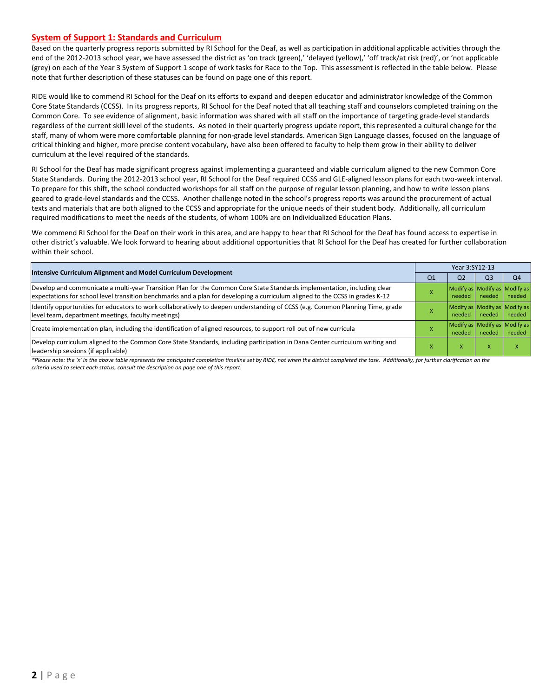#### **System of Support 1: Standards and Curriculum**

Based on the quarterly progress reports submitted by RI School for the Deaf, as well as participation in additional applicable activities through the end of the 2012-2013 school year, we have assessed the district as 'on track (green),' 'delayed (yellow),' 'off track/at risk (red)', or 'not applicable (grey) on each of the Year 3 System of Support 1 scope of work tasks for Race to the Top. This assessment is reflected in the table below. Please note that further description of these statuses can be found on page one of this report.

RIDE would like to commend RI School for the Deaf on its efforts to expand and deepen educator and administrator knowledge of the Common Core State Standards (CCSS). In its progress reports, RI School for the Deaf noted that all teaching staff and counselors completed training on the Common Core. To see evidence of alignment, basic information was shared with all staff on the importance of targeting grade-level standards regardless of the current skill level of the students. As noted in their quarterly progress update report, this represented a cultural change for the staff, many of whom were more comfortable planning for non-grade level standards. American Sign Language classes, focused on the language of critical thinking and higher, more precise content vocabulary, have also been offered to faculty to help them grow in their ability to deliver curriculum at the level required of the standards.

RI School for the Deaf has made significant progress against implementing a guaranteed and viable curriculum aligned to the new Common Core State Standards. During the 2012-2013 school year, RI School for the Deaf required CCSS and GLE-aligned lesson plans for each two-week interval. To prepare for this shift, the school conducted workshops for all staff on the purpose of regular lesson planning, and how to write lesson plans geared to grade-level standards and the CCSS. Another challenge noted in the school's progress reports was around the procurement of actual texts and materials that are both aligned to the CCSS and appropriate for the unique needs of their student body. Additionally, all curriculum required modifications to meet the needs of the students, of whom 100% are on Individualized Education Plans.

We commend RI School for the Deaf on their work in this area, and are happy to hear that RI School for the Deaf has found access to expertise in other district's valuable. We look forward to hearing about additional opportunities that RI School for the Deaf has created for further collaboration within their school.

| Year 3:SY12-13                          |                |  |  |  |  |
|-----------------------------------------|----------------|--|--|--|--|
| Q <sub>3</sub>                          | Q <sub>4</sub> |  |  |  |  |
| Modify as Modify as Modify as<br>needed | needed         |  |  |  |  |
| Modify as Modify as Modify as<br>needed | needed         |  |  |  |  |
| Modify as Modify as Modify as<br>needed | needed         |  |  |  |  |
| X                                       |                |  |  |  |  |
|                                         |                |  |  |  |  |

*\*Please note: the 'x' in the above table represents the anticipated completion timeline set by RIDE, not when the district completed the task. Additionally, for further clarification on the criteria used to select each status, consult the description on page one of this report.*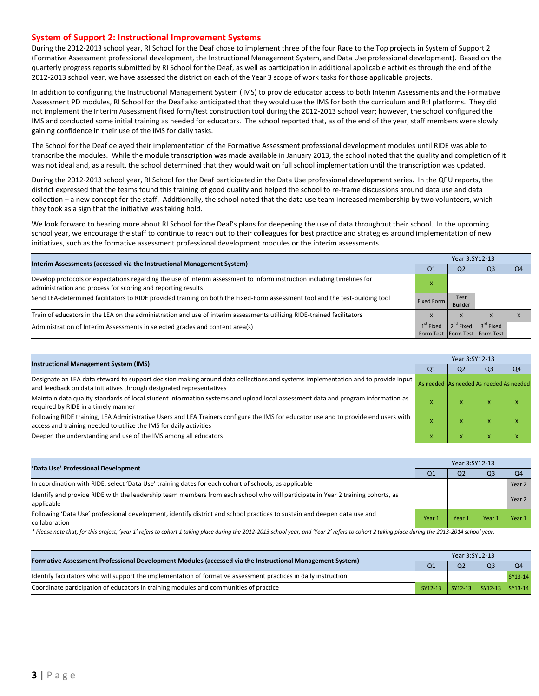#### **System of Support 2: Instructional Improvement Systems**

During the 2012-2013 school year, RI School for the Deaf chose to implement three of the four Race to the Top projects in System of Support 2 (Formative Assessment professional development, the Instructional Management System, and Data Use professional development). Based on the quarterly progress reports submitted by RI School for the Deaf, as well as participation in additional applicable activities through the end of the 2012-2013 school year, we have assessed the district on each of the Year 3 scope of work tasks for those applicable projects.

In addition to configuring the Instructional Management System (IMS) to provide educator access to both Interim Assessments and the Formative Assessment PD modules, RI School for the Deaf also anticipated that they would use the IMS for both the curriculum and RtI platforms. They did not implement the Interim Assessment fixed form/test construction tool during the 2012-2013 school year; however, the school configured the IMS and conducted some initial training as needed for educators. The school reported that, as of the end of the year, staff members were slowly gaining confidence in their use of the IMS for daily tasks.

The School for the Deaf delayed their implementation of the Formative Assessment professional development modules until RIDE was able to transcribe the modules. While the module transcription was made available in January 2013, the school noted that the quality and completion of it was not ideal and, as a result, the school determined that they would wait on full school implementation until the transcription was updated.

During the 2012-2013 school year, RI School for the Deaf participated in the Data Use professional development series. In the QPU reports, the district expressed that the teams found this training of good quality and helped the school to re-frame discussions around data use and data collection – a new concept for the staff. Additionally, the school noted that the data use team increased membership by two volunteers, which they took as a sign that the initiative was taking hold.

We look forward to hearing more about RI School for the Deaf's plans for deepening the use of data throughout their school. In the upcoming school year, we encourage the staff to continue to reach out to their colleagues for best practice and strategies around implementation of new initiatives, such as the formative assessment professional development modules or the interim assessments.

| Interim Assessments (accessed via the Instructional Management System)                                                                                                                  | Year 3:SY12-13                               |                        |                       |                |  |
|-----------------------------------------------------------------------------------------------------------------------------------------------------------------------------------------|----------------------------------------------|------------------------|-----------------------|----------------|--|
|                                                                                                                                                                                         | Q <sub>1</sub>                               | Q <sub>2</sub>         | Q <sub>3</sub>        | O <sub>4</sub> |  |
| Develop protocols or expectations regarding the use of interim assessment to inform instruction including timelines for<br>administration and process for scoring and reporting results |                                              |                        |                       |                |  |
| Send LEA-determined facilitators to RIDE provided training on both the Fixed-Form assessment tool and the test-building tool                                                            | <b>Fixed Form</b>                            | Test<br><b>Builder</b> |                       |                |  |
| Train of educators in the LEA on the administration and use of interim assessments utilizing RIDE-trained facilitators                                                                  |                                              | X                      |                       |                |  |
| Administration of Interim Assessments in selected grades and content area(s)                                                                                                            | $1st$ Fixed<br>Form Test Form Test Form Test | $2^{nd}$ Fixed         | 3 <sup>rd</sup> Fixed |                |  |

|                                                                                                                                                                                                           |                                         | Year 3:SY12-13 |    |                |  |  |  |
|-----------------------------------------------------------------------------------------------------------------------------------------------------------------------------------------------------------|-----------------------------------------|----------------|----|----------------|--|--|--|
| <b>Instructional Management System (IMS)</b>                                                                                                                                                              | Q1                                      | Q <sub>2</sub> | Q3 | Q <sub>4</sub> |  |  |  |
| Designate an LEA data steward to support decision making around data collections and systems implementation and to provide input<br>and feedback on data initiatives through designated representatives   | As needed As needed As needed As needed |                |    |                |  |  |  |
| Maintain data quality standards of local student information systems and upload local assessment data and program information as<br>required by RIDE in a timely manner                                   |                                         |                |    |                |  |  |  |
| Following RIDE training, LEA Administrative Users and LEA Trainers configure the IMS for educator use and to provide end users with<br>access and training needed to utilize the IMS for daily activities |                                         |                |    |                |  |  |  |
| Deepen the understanding and use of the IMS among all educators                                                                                                                                           |                                         |                |    |                |  |  |  |

| 'Data Use' Professional Development                                                                                                           |                |                | Year 3:SY12-13 |        |  |  |  |  |
|-----------------------------------------------------------------------------------------------------------------------------------------------|----------------|----------------|----------------|--------|--|--|--|--|
|                                                                                                                                               | Q <sub>1</sub> | Q <sub>2</sub> | Q <sub>3</sub> | Q4     |  |  |  |  |
| In coordination with RIDE, select 'Data Use' training dates for each cohort of schools, as applicable                                         |                |                |                | Year 2 |  |  |  |  |
| Identify and provide RIDE with the leadership team members from each school who will participate in Year 2 training cohorts, as<br>applicable |                |                |                | Year 2 |  |  |  |  |
| Following 'Data Use' professional development, identify district and school practices to sustain and deepen data use and<br>collaboration     | Year 1         | Year 1         | Year           | Year 1 |  |  |  |  |

\* Please note that, for this project, 'year 1' refers to cohort 1 taking place during the 2012-2013 school year, and 'Year 2' refers to cohort 2 taking place during the 2013-2014 school year.

| [Formative Assessment Professional Development Modules (accessed via the Instructional Management System)        |  | Year 3:SY12-13 |                                       |                |  |  |
|------------------------------------------------------------------------------------------------------------------|--|----------------|---------------------------------------|----------------|--|--|
|                                                                                                                  |  | Q <sub>2</sub> | O <sub>3</sub>                        | Q <sub>4</sub> |  |  |
| ldentify facilitators who will support the implementation of formative assessment practices in daily instruction |  |                |                                       | SY13-14        |  |  |
| Coordinate participation of educators in training modules and communities of practice                            |  |                | SY12-13   SY12-13   SY12-13   SY13-14 |                |  |  |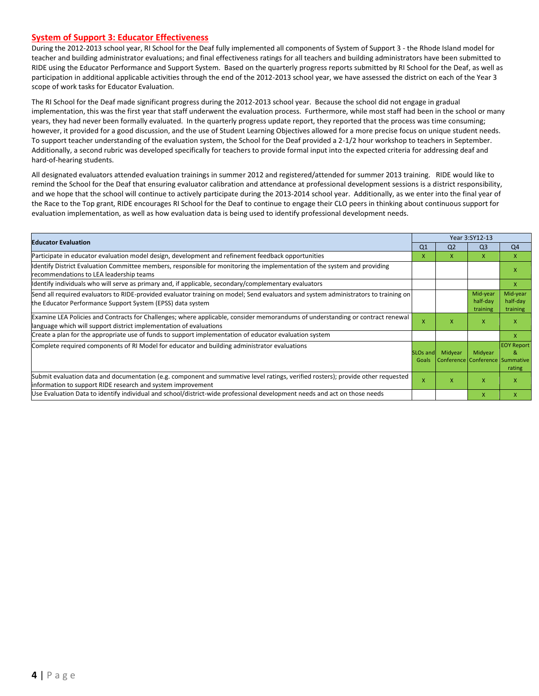#### **System of Support 3: Educator Effectiveness**

During the 2012-2013 school year, RI School for the Deaf fully implemented all components of System of Support 3 - the Rhode Island model for teacher and building administrator evaluations; and final effectiveness ratings for all teachers and building administrators have been submitted to RIDE using the Educator Performance and Support System. Based on the quarterly progress reports submitted by RI School for the Deaf, as well as participation in additional applicable activities through the end of the 2012-2013 school year, we have assessed the district on each of the Year 3 scope of work tasks for Educator Evaluation.

The RI School for the Deaf made significant progress during the 2012-2013 school year. Because the school did not engage in gradual implementation, this was the first year that staff underwent the evaluation process. Furthermore, while most staff had been in the school or many years, they had never been formally evaluated. In the quarterly progress update report, they reported that the process was time consuming; however, it provided for a good discussion, and the use of Student Learning Objectives allowed for a more precise focus on unique student needs. To support teacher understanding of the evaluation system, the School for the Deaf provided a 2-1/2 hour workshop to teachers in September. Additionally, a second rubric was developed specifically for teachers to provide formal input into the expected criteria for addressing deaf and hard-of-hearing students.

All designated evaluators attended evaluation trainings in summer 2012 and registered/attended for summer 2013 training. RIDE would like to remind the School for the Deaf that ensuring evaluator calibration and attendance at professional development sessions is a district responsibility, and we hope that the school will continue to actively participate during the 2013-2014 school year. Additionally, as we enter into the final year of the Race to the Top grant, RIDE encourages RI School for the Deaf to continue to engage their CLO peers in thinking about continuous support for evaluation implementation, as well as how evaluation data is being used to identify professional development needs.

|                                                                                                                                                                                                      |                           | Year 3:SY12-13                                      |                                  |                                  |
|------------------------------------------------------------------------------------------------------------------------------------------------------------------------------------------------------|---------------------------|-----------------------------------------------------|----------------------------------|----------------------------------|
| <b>Educator Evaluation</b>                                                                                                                                                                           | Q <sub>1</sub>            | Q <sub>2</sub>                                      | Q <sub>3</sub>                   | Q <sub>4</sub>                   |
| Participate in educator evaluation model design, development and refinement feedback opportunities                                                                                                   | X                         | X                                                   | X                                | X                                |
| Identify District Evaluation Committee members, responsible for monitoring the implementation of the system and providing<br>recommendations to LEA leadership teams                                 |                           |                                                     |                                  | x                                |
| Identify individuals who will serve as primary and, if applicable, secondary/complementary evaluators                                                                                                |                           |                                                     |                                  | $\mathsf{x}$                     |
| Send all required evaluators to RIDE-provided evaluator training on model; Send evaluators and system administrators to training on<br>the Educator Performance Support System (EPSS) data system    |                           |                                                     | Mid-year<br>half-day<br>training | Mid-year<br>half-day<br>training |
| Examine LEA Policies and Contracts for Challenges; where applicable, consider memorandums of understanding or contract renewal<br>language which will support district implementation of evaluations | $\boldsymbol{\mathsf{x}}$ | X                                                   | X                                | x                                |
| Create a plan for the appropriate use of funds to support implementation of educator evaluation system                                                                                               |                           |                                                     |                                  | X                                |
| Complete required components of RI Model for educator and building administrator evaluations                                                                                                         | Goals                     | SLOs and Midyear<br>Conference Conference Summative | Midyear                          | <b>EOY Report</b><br>&<br>rating |
| Submit evaluation data and documentation (e.g. component and summative level ratings, verified rosters); provide other requested<br>information to support RIDE research and system improvement      | $\boldsymbol{\mathsf{x}}$ | X                                                   | $\mathsf{x}$                     | x                                |
| Use Evaluation Data to identify individual and school/district-wide professional development needs and act on those needs                                                                            |                           |                                                     | $\mathsf{x}$                     | X                                |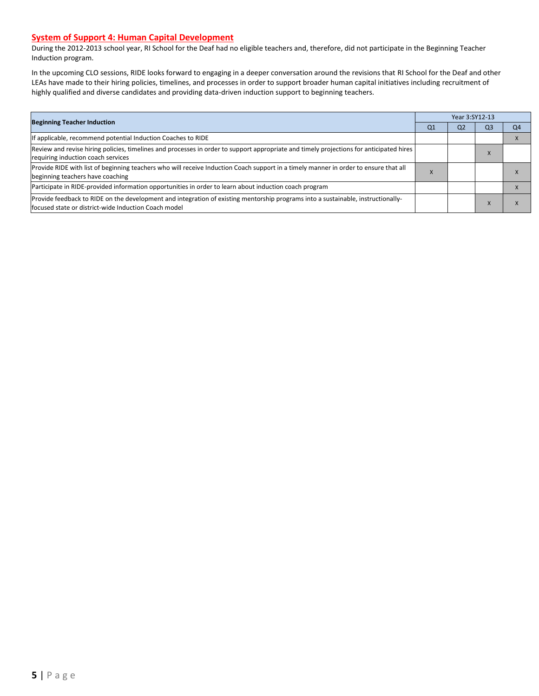#### **System of Support 4: Human Capital Development**

During the 2012-2013 school year, RI School for the Deaf had no eligible teachers and, therefore, did not participate in the Beginning Teacher Induction program.

In the upcoming CLO sessions, RIDE looks forward to engaging in a deeper conversation around the revisions that RI School for the Deaf and other LEAs have made to their hiring policies, timelines, and processes in order to support broader human capital initiatives including recruitment of highly qualified and diverse candidates and providing data-driven induction support to beginning teachers.

| <b>Beginning Teacher Induction</b>                                                                                                                                                       |                | Year 3:SY12-13 |                |                |  |  |
|------------------------------------------------------------------------------------------------------------------------------------------------------------------------------------------|----------------|----------------|----------------|----------------|--|--|
|                                                                                                                                                                                          | Q <sub>1</sub> | Q <sub>2</sub> | Q <sub>3</sub> | Q <sub>4</sub> |  |  |
| If applicable, recommend potential Induction Coaches to RIDE                                                                                                                             |                |                |                |                |  |  |
| Review and revise hiring policies, timelines and processes in order to support appropriate and timely projections for anticipated hires<br>requiring induction coach services            |                |                | $\Lambda$      |                |  |  |
| Provide RIDE with list of beginning teachers who will receive Induction Coach support in a timely manner in order to ensure that all<br>beginning teachers have coaching                 |                |                |                |                |  |  |
| Participate in RIDE-provided information opportunities in order to learn about induction coach program                                                                                   |                |                |                |                |  |  |
| Provide feedback to RIDE on the development and integration of existing mentorship programs into a sustainable, instructionally-<br>focused state or district-wide Induction Coach model |                |                | $\Lambda$      |                |  |  |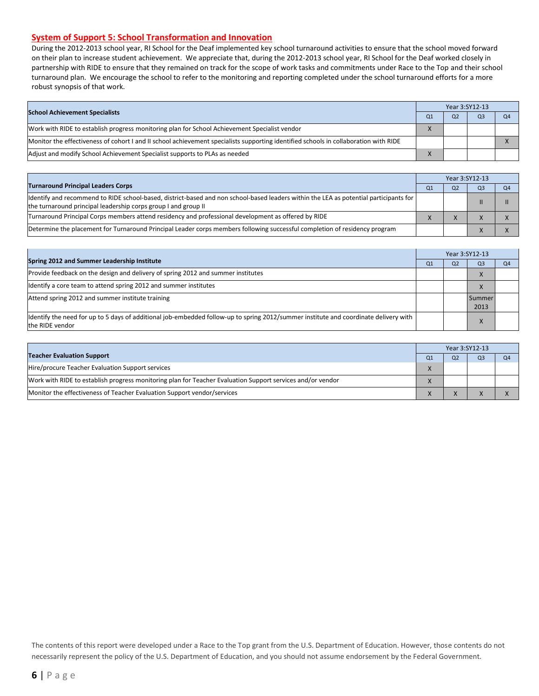#### **System of Support 5: School Transformation and Innovation**

During the 2012-2013 school year, RI School for the Deaf implemented key school turnaround activities to ensure that the school moved forward on their plan to increase student achievement. We appreciate that, during the 2012-2013 school year, RI School for the Deaf worked closely in partnership with RIDE to ensure that they remained on track for the scope of work tasks and commitments under Race to the Top and their school turnaround plan. We encourage the school to refer to the monitoring and reporting completed under the school turnaround efforts for a more robust synopsis of that work.

| <b>School Achievement Specialists</b>                                                                                                |  | Year 3:SY12-13 |                |                |
|--------------------------------------------------------------------------------------------------------------------------------------|--|----------------|----------------|----------------|
|                                                                                                                                      |  | Q <sub>2</sub> | Q <sub>3</sub> | Q <sub>4</sub> |
| Work with RIDE to establish progress monitoring plan for School Achievement Specialist vendor                                        |  |                |                |                |
| Monitor the effectiveness of cohort I and II school achievement specialists supporting identified schools in collaboration with RIDE |  |                |                |                |
| Adjust and modify School Achievement Specialist supports to PLAs as needed                                                           |  |                |                |                |

|                                                                                                                                                                                                         |  | Year 3:SY12-13 |                |    |  |
|---------------------------------------------------------------------------------------------------------------------------------------------------------------------------------------------------------|--|----------------|----------------|----|--|
| <b>Turnaround Principal Leaders Corps</b>                                                                                                                                                               |  | O <sub>2</sub> | Q <sub>3</sub> | Q4 |  |
| ldentify and recommend to RIDE school-based, district-based and non school-based leaders within the LEA as potential participants for<br>the turnaround principal leadership corps group I and group II |  |                |                |    |  |
| Turnaround Principal Corps members attend residency and professional development as offered by RIDE                                                                                                     |  |                |                |    |  |
| Determine the placement for Turnaround Principal Leader corps members following successful completion of residency program                                                                              |  |                |                |    |  |

|                                                                                                                                                         | Year 3:SY12-13 |                |                       |                |  |
|---------------------------------------------------------------------------------------------------------------------------------------------------------|----------------|----------------|-----------------------|----------------|--|
| Spring 2012 and Summer Leadership Institute                                                                                                             | Q <sub>1</sub> | Q <sub>2</sub> | Q <sub>3</sub>        | Q <sub>4</sub> |  |
| Provide feedback on the design and delivery of spring 2012 and summer institutes                                                                        |                |                |                       |                |  |
| Identify a core team to attend spring 2012 and summer institutes                                                                                        |                |                |                       |                |  |
| Attend spring 2012 and summer institute training                                                                                                        |                |                | <b>Summer</b><br>2013 |                |  |
| ldentify the need for up to 5 days of additional job-embedded follow-up to spring 2012/summer institute and coordinate delivery with<br>the RIDE vendor |                |                |                       |                |  |

|                                                                                                            | Year 3:SY12-13 |    |                |  |  |  |
|------------------------------------------------------------------------------------------------------------|----------------|----|----------------|--|--|--|
| <b>Teacher Evaluation Support</b>                                                                          | O1             | Ο2 | O <sub>3</sub> |  |  |  |
| Hire/procure Teacher Evaluation Support services                                                           |                |    |                |  |  |  |
| Work with RIDE to establish progress monitoring plan for Teacher Evaluation Support services and/or vendor |                |    |                |  |  |  |
| Monitor the effectiveness of Teacher Evaluation Support vendor/services                                    |                |    |                |  |  |  |

The contents of this report were developed under a Race to the Top grant from the U.S. Department of Education. However, those contents do not necessarily represent the policy of the U.S. Department of Education, and you should not assume endorsement by the Federal Government.